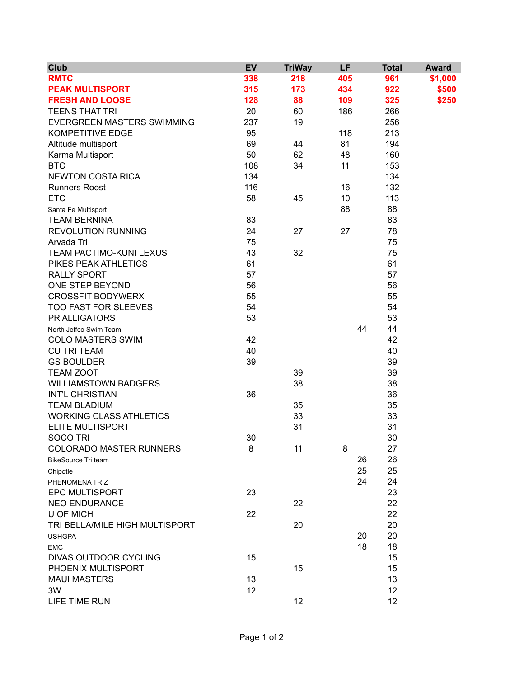| <b>Club</b>                    | <b>EV</b> | <b>TriWay</b> | LF  | <b>Total</b> | <b>Award</b> |
|--------------------------------|-----------|---------------|-----|--------------|--------------|
| <b>RMTC</b>                    | 338       | 218           | 405 | 961          | \$1,000      |
| <b>PEAK MULTISPORT</b>         | 315       | 173           | 434 | 922          | \$500        |
| <b>FRESH AND LOOSE</b>         | 128       | 88            | 109 | 325          | \$250        |
| <b>TEENS THAT TRI</b>          | 20        | 60            | 186 | 266          |              |
| EVERGREEN MASTERS SWIMMING     | 237       | 19            |     | 256          |              |
| <b>KOMPETITIVE EDGE</b>        | 95        |               | 118 | 213          |              |
| Altitude multisport            | 69        | 44            | 81  | 194          |              |
| Karma Multisport               | 50        | 62            | 48  | 160          |              |
| <b>BTC</b>                     | 108       | 34            | 11  | 153          |              |
| <b>NEWTON COSTA RICA</b>       | 134       |               |     | 134          |              |
| <b>Runners Roost</b>           | 116       |               | 16  | 132          |              |
| <b>ETC</b>                     | 58        | 45            | 10  | 113          |              |
| Santa Fe Multisport            |           |               | 88  | 88           |              |
| <b>TEAM BERNINA</b>            | 83        |               |     | 83           |              |
| <b>REVOLUTION RUNNING</b>      | 24        | 27            | 27  | 78           |              |
| Arvada Tri                     | 75        |               |     | 75           |              |
| TEAM PACTIMO-KUNI LEXUS        | 43        | 32            |     | 75           |              |
| PIKES PEAK ATHLETICS           | 61        |               |     | 61           |              |
| <b>RALLY SPORT</b>             | 57        |               |     | 57           |              |
| ONE STEP BEYOND                | 56        |               |     | 56           |              |
| <b>CROSSFIT BODYWERX</b>       | 55        |               |     | 55           |              |
| <b>TOO FAST FOR SLEEVES</b>    | 54        |               |     | 54           |              |
| PR ALLIGATORS                  | 53        |               |     | 53           |              |
| North Jeffco Swim Team         |           |               | 44  | 44           |              |
| <b>COLO MASTERS SWIM</b>       | 42        |               |     | 42           |              |
| <b>CU TRI TEAM</b>             | 40        |               |     | 40           |              |
| <b>GS BOULDER</b>              | 39        |               |     | 39           |              |
| <b>TEAM ZOOT</b>               |           | 39            |     | 39           |              |
| <b>WILLIAMSTOWN BADGERS</b>    |           | 38            |     | 38           |              |
| <b>INT'L CHRISTIAN</b>         | 36        |               |     | 36           |              |
| <b>TEAM BLADIUM</b>            |           | 35            |     | 35           |              |
| <b>WORKING CLASS ATHLETICS</b> |           | 33            |     | 33           |              |
| <b>ELITE MULTISPORT</b>        |           | 31            |     | 31           |              |
| <b>SOCO TRI</b>                | 30        |               |     | 30           |              |
| <b>COLORADO MASTER RUNNERS</b> | 8         | 11            | 8   | 27           |              |
| <b>BikeSource Tri team</b>     |           |               | 26  | 26           |              |
| Chipotle                       |           |               | 25  | 25           |              |
| PHENOMENA TRIZ                 |           |               | 24  | 24           |              |
| <b>EPC MULTISPORT</b>          | 23        |               |     | 23           |              |
| <b>NEO ENDURANCE</b>           |           | 22            |     | 22           |              |
| <b>U OF MICH</b>               | 22        |               |     | 22           |              |
| TRI BELLA/MILE HIGH MULTISPORT |           | 20            |     | 20           |              |
| <b>USHGPA</b>                  |           |               | 20  | 20           |              |
| <b>EMC</b>                     |           |               | 18  | 18           |              |
| DIVAS OUTDOOR CYCLING          | 15        |               |     | 15           |              |
| PHOENIX MULTISPORT             |           | 15            |     | 15           |              |
| <b>MAUI MASTERS</b>            | 13        |               |     | 13           |              |
| 3W                             | 12        |               |     | 12           |              |
| LIFE TIME RUN                  |           | 12            |     | 12           |              |